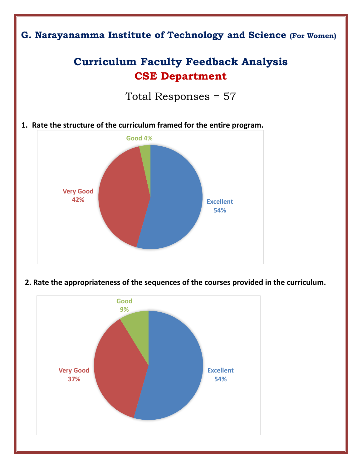

#### **2. Rate the appropriateness of the sequences of the courses provided in the curriculum.**

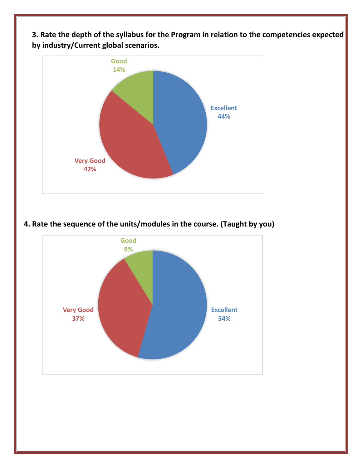**3. Rate the depth of the syllabus for the Program in relation to the competencies expected by industry/Current global scenarios.** 



### **4. Rate the sequence of the units/modules in the course. (Taught by you)**

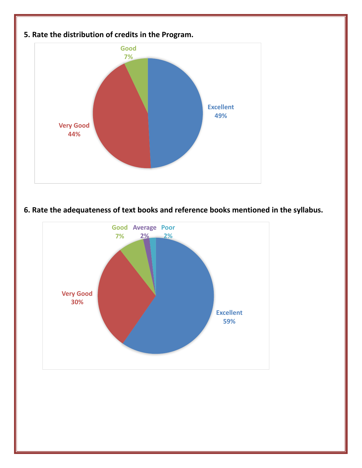

# **6. Rate the adequateness of text books and reference books mentioned in the syllabus.**

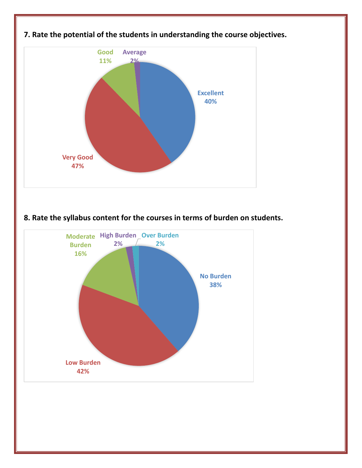

**8. Rate the syllabus content for the courses in terms of burden on students.**

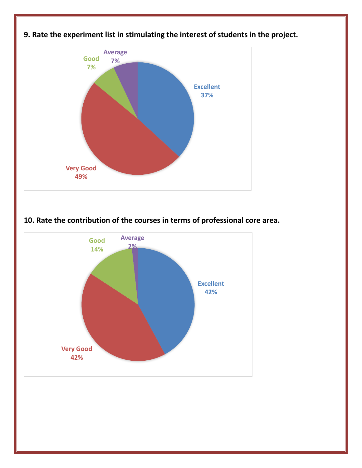

# **9. Rate the experiment list in stimulating the interest of students in the project.**

#### **10. Rate the contribution of the courses in terms of professional core area.**